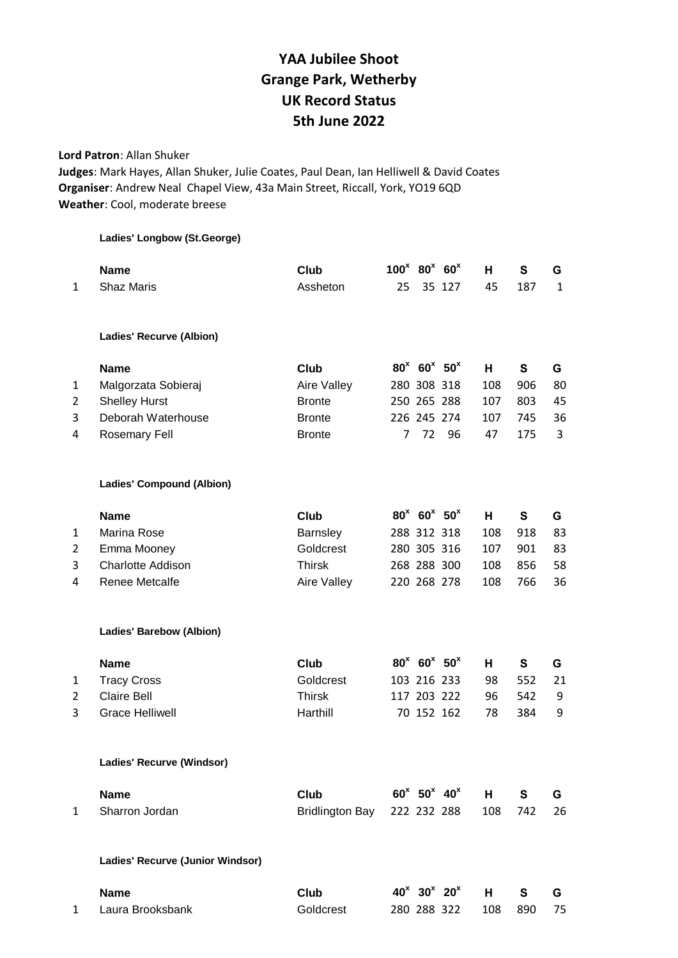## **YAA Jubilee Shoot Grange Park, Wetherby UK Record Status 5th June 2022**

**Lord Patron**: Allan Shuker

**Judges**: Mark Hayes, Allan Shuker, Julie Coates, Paul Dean, Ian Helliwell & David Coates **Organiser**: Andrew Neal Chapel View, 43a Main Street, Riccall, York, YO19 6QD **Weather**: Cool, moderate breese

| <b>Name</b>                 | Club | 100 <sup>x</sup> |
|-----------------------------|------|------------------|
| Ladies' Longbow (St.George) |      |                  |

|                | <b>Name</b>                      | Club                   | $100^x$ 80 <sup>x</sup> |                                          | 60 <sup>x</sup>                        | н   | S   | G            |
|----------------|----------------------------------|------------------------|-------------------------|------------------------------------------|----------------------------------------|-----|-----|--------------|
| 1              | <b>Shaz Maris</b>                | Assheton               | 25                      |                                          | 35 127                                 | 45  | 187 | $\mathbf{1}$ |
|                |                                  |                        |                         |                                          |                                        |     |     |              |
|                | Ladies' Recurve (Albion)         |                        |                         |                                          |                                        |     |     |              |
|                | <b>Name</b>                      | <b>Club</b>            |                         |                                          | $80^x$ 60 <sup>x</sup> 50 <sup>x</sup> | н   | S   | G            |
| 1              | Malgorzata Sobieraj              | Aire Valley            |                         | 280 308 318                              |                                        | 108 | 906 | 80           |
| $\overline{2}$ | <b>Shelley Hurst</b>             | <b>Bronte</b>          |                         | 250 265 288                              |                                        | 107 | 803 | 45           |
| 3              | Deborah Waterhouse               | <b>Bronte</b>          |                         |                                          | 226 245 274                            | 107 | 745 | 36           |
| 4              | <b>Rosemary Fell</b>             | <b>Bronte</b>          | 7                       | 72                                       | 96                                     | 47  | 175 | 3            |
|                | <b>Ladies' Compound (Albion)</b> |                        |                         |                                          |                                        |     |     |              |
|                | <b>Name</b>                      | Club                   |                         | $80^{x}$ 60 <sup>x</sup> 50 <sup>x</sup> |                                        | н   | S   | G            |
| 1              | Marina Rose                      | Barnsley               |                         | 288 312 318                              |                                        | 108 | 918 | 83           |
| 2              | Emma Mooney                      | Goldcrest              |                         | 280 305 316                              |                                        | 107 | 901 | 83           |
| 3              | <b>Charlotte Addison</b>         | <b>Thirsk</b>          |                         | 268 288 300                              |                                        | 108 | 856 | 58           |
| 4              | <b>Renee Metcalfe</b>            | Aire Valley            |                         | 220 268 278                              |                                        | 108 | 766 | 36           |
|                | <b>Ladies' Barebow (Albion)</b>  |                        |                         |                                          |                                        |     |     |              |
|                | <b>Name</b>                      | <b>Club</b>            |                         | $80^{x}$ 60 <sup>x</sup> 50 <sup>x</sup> |                                        | н   | S   | G            |
| 1              | <b>Tracy Cross</b>               | Goldcrest              |                         | 103 216 233                              |                                        | 98  | 552 | 21           |
| 2              | <b>Claire Bell</b>               | <b>Thirsk</b>          |                         | 117 203 222                              |                                        | 96  | 542 | 9            |
| 3              | <b>Grace Helliwell</b>           | Harthill               |                         |                                          | 70 152 162                             | 78  | 384 | 9            |
|                | Ladies' Recurve (Windsor)        |                        |                         |                                          |                                        |     |     |              |
|                | <b>Name</b>                      | <b>Club</b>            |                         |                                          | $60^x$ 50 <sup>x</sup> 40 <sup>x</sup> | H   | S   | G            |
| 1              | Sharron Jordan                   | <b>Bridlington Bay</b> |                         |                                          | 222 232 288                            | 108 | 742 | 26           |
|                | Ladies' Recurve (Junior Windsor) |                        |                         |                                          |                                        |     |     |              |
|                | <b>Name</b>                      | <b>Club</b>            |                         |                                          | $40^x$ 30 <sup>x</sup> 20 <sup>x</sup> | H   | S   | G            |
| 1              | Laura Brooksbank                 | Goldcrest              |                         |                                          | 280 288 322                            | 108 | 890 | 75           |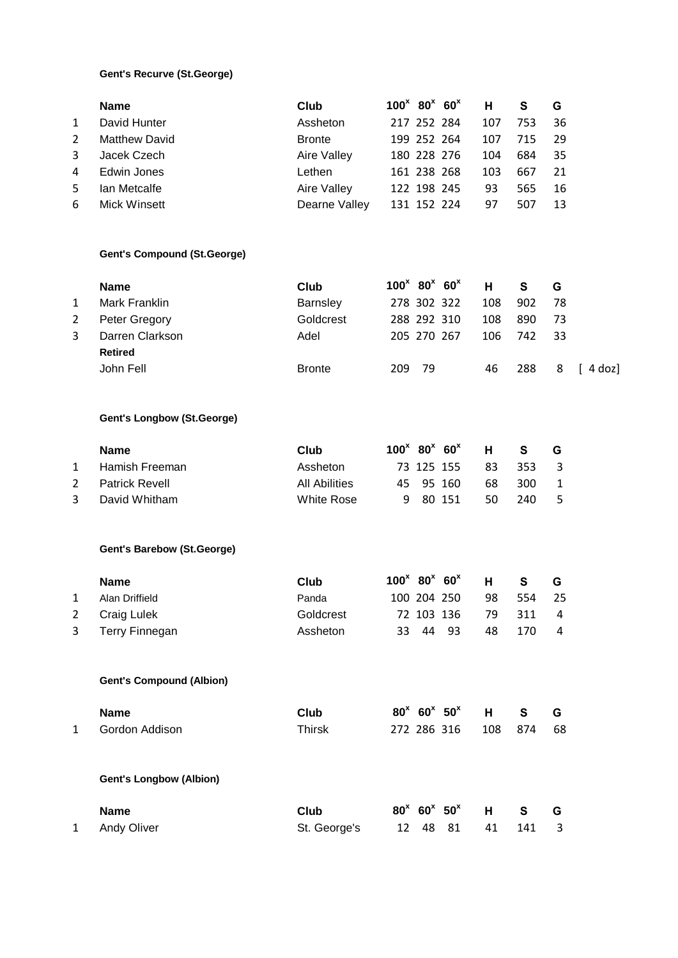## **Gent's Recurve (St.George)**

|                | <b>Name</b>                        | Club                 |     | $100^x$ 80 <sup>x</sup> 60 <sup>x</sup> | н   | $\mathbf{s}$ | G  |           |
|----------------|------------------------------------|----------------------|-----|-----------------------------------------|-----|--------------|----|-----------|
| 1              | David Hunter                       | Assheton             |     | 217 252 284                             | 107 | 753          | 36 |           |
| $\overline{2}$ | <b>Matthew David</b>               | <b>Bronte</b>        |     | 199 252 264                             | 107 | 715          | 29 |           |
| 3              | Jacek Czech                        | Aire Valley          |     | 180 228 276                             | 104 | 684          | 35 |           |
| 4              | Edwin Jones                        | Lethen               |     | 161 238 268                             | 103 | 667          | 21 |           |
| 5              | Ian Metcalfe                       | Aire Valley          |     | 122 198 245                             | 93  | 565          | 16 |           |
| 6              | Mick Winsett                       | Dearne Valley        |     | 131 152 224                             | 97  | 507          | 13 |           |
|                | <b>Gent's Compound (St.George)</b> |                      |     |                                         |     |              |    |           |
|                | <b>Name</b>                        | Club                 |     | $100^x$ 80 <sup>x</sup> 60 <sup>x</sup> | н   | S            | G  |           |
| 1              | Mark Franklin                      | Barnsley             |     | 278 302 322                             | 108 | 902          | 78 |           |
| 2              | Peter Gregory                      | Goldcrest            |     | 288 292 310                             | 108 | 890          | 73 |           |
| 3              | Darren Clarkson                    | Adel                 |     | 205 270 267                             | 106 | 742          | 33 |           |
|                | <b>Retired</b>                     |                      |     |                                         |     |              |    |           |
|                | John Fell                          | <b>Bronte</b>        | 209 | 79                                      | 46  | 288          | 8  | $[4$ doz] |
|                | <b>Gent's Longbow (St.George)</b>  |                      |     |                                         |     |              |    |           |
|                | <b>Name</b>                        | Club                 |     | $100^x$ 80 <sup>x</sup> 60 <sup>x</sup> | н   | $\mathbf s$  | G  |           |
| 1              | Hamish Freeman                     | Assheton             |     | 73 125 155                              | 83  | 353          | 3  |           |
| 2              | <b>Patrick Revell</b>              | <b>All Abilities</b> | 45  | 95 160                                  | 68  | 300          | 1  |           |
| 3              | David Whitham                      | <b>White Rose</b>    | 9   | 80 151                                  | 50  | 240          | 5  |           |
|                | <b>Gent's Barebow (St.George)</b>  |                      |     |                                         |     |              |    |           |
|                | <b>Name</b>                        | Club                 |     | $100^x$ 80 <sup>x</sup> 60 <sup>x</sup> | н   | $\mathbf{s}$ | G  |           |
| 1              | Alan Driffield                     | Panda                |     | 100 204 250                             | 98  | 554          | 25 |           |
| 2              | Craig Lulek                        | Goldcrest            |     | 72 103 136                              | 79  | 311          | 4  |           |
| 3              | <b>Terry Finnegan</b>              | Assheton             | 33  | 44<br>93                                | 48  | 170          | 4  |           |
|                | <b>Gent's Compound (Albion)</b>    |                      |     |                                         |     |              |    |           |
|                | <b>Name</b>                        | <b>Club</b>          |     | $80^x$ 60 <sup>x</sup> 50 <sup>x</sup>  | н   | S            | G  |           |
| $\mathbf{1}$   | Gordon Addison                     | <b>Thirsk</b>        |     | 272 286 316                             | 108 | 874          | 68 |           |
|                | <b>Gent's Longbow (Albion)</b>     |                      |     |                                         |     |              |    |           |
|                | <b>Name</b>                        | Club                 |     | $80^x$ 60 <sup>x</sup> 50 <sup>x</sup>  | н   | S            | G  |           |
| 1              | <b>Andy Oliver</b>                 | St. George's         | 12  | 48<br>81                                | 41  | 141          | 3  |           |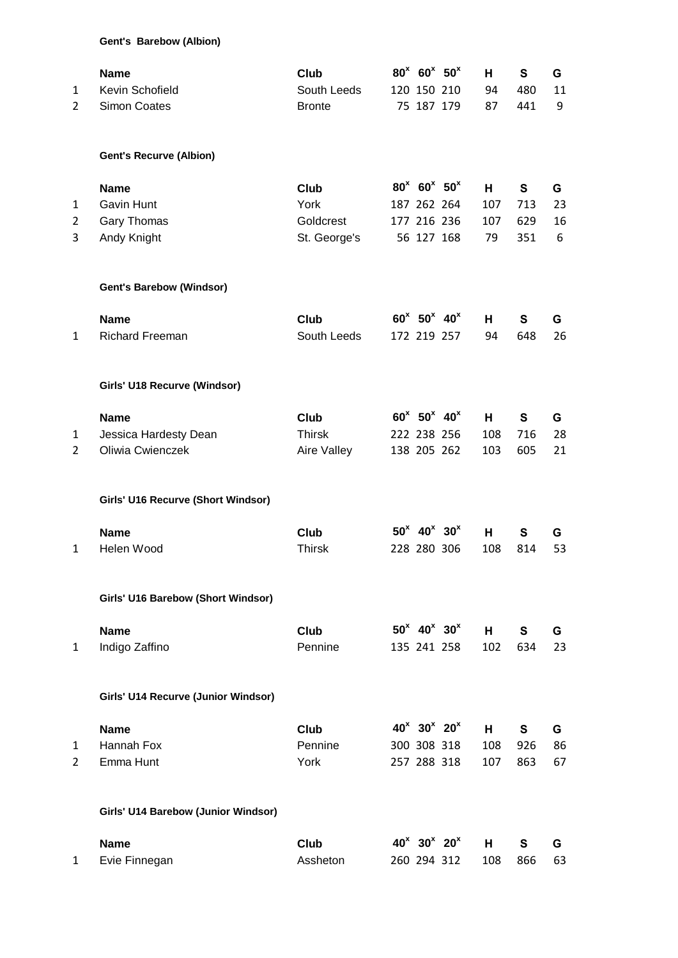|  | Gent's Barebow (Albion) |  |
|--|-------------------------|--|
|--|-------------------------|--|

| <b>Gent's Recurve (Albion)</b><br>$80^{x}$ 60 <sup>x</sup> 50 <sup>x</sup><br>$\mathbf{s}$<br><b>Club</b><br>н<br><b>Name</b><br><b>Gavin Hunt</b><br>York<br>713<br>187 262 264<br>107<br>1<br>Gary Thomas<br>Goldcrest<br>629<br>2<br>177 216 236<br>107<br>Andy Knight<br>56 127 168<br>St. George's<br>79<br>351<br>3<br><b>Gent's Barebow (Windsor)</b><br>$60^x$ 50 <sup>x</sup> 40 <sup>x</sup><br><b>Name</b><br><b>Club</b><br>S<br>н.<br>South Leeds<br><b>Richard Freeman</b><br>172 219 257<br>648<br>94<br>$\mathbf{1}$<br>Girls' U18 Recurve (Windsor)<br>$60^x$ 50 <sup>x</sup> 40 <sup>x</sup><br>S<br><b>Name</b><br><b>Club</b><br>н<br><b>Thirsk</b><br>222 238 256<br>108<br>716<br>Jessica Hardesty Dean<br>1<br>Oliwia Cwienczek<br>Aire Valley<br>605<br>$\overline{2}$<br>138 205 262<br>103<br>Girls' U16 Recurve (Short Windsor)<br>$50^x$ 40 <sup>x</sup> 30 <sup>x</sup><br><b>Name</b><br><b>Club</b><br>S<br>Н.<br>Helen Wood<br><b>Thirsk</b><br>228 280 306<br>108<br>814<br>1<br>Girls' U16 Barebow (Short Windsor)<br>$50^x$ 40 <sup>x</sup> 30 <sup>x</sup><br>S<br><b>Name</b><br>Club<br>H<br>Indigo Zaffino<br>Pennine<br>135 241 258<br>102<br>634<br>1<br>Girls' U14 Recurve (Junior Windsor)<br>$40^{x}$ 30 <sup>x</sup> 20 <sup>x</sup><br><b>Name</b><br><b>Club</b><br>S<br>H.<br>Pennine<br>Hannah Fox<br>300 308 318<br>108<br>926<br>1<br>Emma Hunt<br>York<br>$\overline{2}$<br>257 288 318<br>107<br>863<br>Girls' U14 Barebow (Junior Windsor)<br>$40^x$ 30 <sup>x</sup> 20 <sup>x</sup><br><b>Club</b><br>Н.<br>S<br><b>Name</b><br>Evie Finnegan<br>Assheton<br>260 294 312<br>866<br>108<br>1 | 1<br>$\overline{2}$ | <b>Name</b><br>Kevin Schofield<br><b>Simon Coates</b> | Club<br>South Leeds<br><b>Bronte</b> | $80^{x}$ 60 <sup>x</sup> 50 <sup>x</sup><br>120 150 210<br>75 187 179 | H.<br>94<br>87 | S<br>480<br>441 | G<br>11<br>9 |
|----------------------------------------------------------------------------------------------------------------------------------------------------------------------------------------------------------------------------------------------------------------------------------------------------------------------------------------------------------------------------------------------------------------------------------------------------------------------------------------------------------------------------------------------------------------------------------------------------------------------------------------------------------------------------------------------------------------------------------------------------------------------------------------------------------------------------------------------------------------------------------------------------------------------------------------------------------------------------------------------------------------------------------------------------------------------------------------------------------------------------------------------------------------------------------------------------------------------------------------------------------------------------------------------------------------------------------------------------------------------------------------------------------------------------------------------------------------------------------------------------------------------------------------------------------------------------------------------------------------------------------------------------|---------------------|-------------------------------------------------------|--------------------------------------|-----------------------------------------------------------------------|----------------|-----------------|--------------|
|                                                                                                                                                                                                                                                                                                                                                                                                                                                                                                                                                                                                                                                                                                                                                                                                                                                                                                                                                                                                                                                                                                                                                                                                                                                                                                                                                                                                                                                                                                                                                                                                                                                    |                     |                                                       |                                      |                                                                       |                |                 |              |
|                                                                                                                                                                                                                                                                                                                                                                                                                                                                                                                                                                                                                                                                                                                                                                                                                                                                                                                                                                                                                                                                                                                                                                                                                                                                                                                                                                                                                                                                                                                                                                                                                                                    |                     |                                                       |                                      |                                                                       |                |                 | G            |
|                                                                                                                                                                                                                                                                                                                                                                                                                                                                                                                                                                                                                                                                                                                                                                                                                                                                                                                                                                                                                                                                                                                                                                                                                                                                                                                                                                                                                                                                                                                                                                                                                                                    |                     |                                                       |                                      |                                                                       |                |                 | 23           |
|                                                                                                                                                                                                                                                                                                                                                                                                                                                                                                                                                                                                                                                                                                                                                                                                                                                                                                                                                                                                                                                                                                                                                                                                                                                                                                                                                                                                                                                                                                                                                                                                                                                    |                     |                                                       |                                      |                                                                       |                |                 | 16           |
|                                                                                                                                                                                                                                                                                                                                                                                                                                                                                                                                                                                                                                                                                                                                                                                                                                                                                                                                                                                                                                                                                                                                                                                                                                                                                                                                                                                                                                                                                                                                                                                                                                                    |                     |                                                       |                                      |                                                                       |                |                 | 6            |
|                                                                                                                                                                                                                                                                                                                                                                                                                                                                                                                                                                                                                                                                                                                                                                                                                                                                                                                                                                                                                                                                                                                                                                                                                                                                                                                                                                                                                                                                                                                                                                                                                                                    |                     |                                                       |                                      |                                                                       |                |                 |              |
|                                                                                                                                                                                                                                                                                                                                                                                                                                                                                                                                                                                                                                                                                                                                                                                                                                                                                                                                                                                                                                                                                                                                                                                                                                                                                                                                                                                                                                                                                                                                                                                                                                                    |                     |                                                       |                                      |                                                                       |                |                 | G            |
|                                                                                                                                                                                                                                                                                                                                                                                                                                                                                                                                                                                                                                                                                                                                                                                                                                                                                                                                                                                                                                                                                                                                                                                                                                                                                                                                                                                                                                                                                                                                                                                                                                                    |                     |                                                       |                                      |                                                                       |                |                 | 26           |
|                                                                                                                                                                                                                                                                                                                                                                                                                                                                                                                                                                                                                                                                                                                                                                                                                                                                                                                                                                                                                                                                                                                                                                                                                                                                                                                                                                                                                                                                                                                                                                                                                                                    |                     |                                                       |                                      |                                                                       |                |                 |              |
|                                                                                                                                                                                                                                                                                                                                                                                                                                                                                                                                                                                                                                                                                                                                                                                                                                                                                                                                                                                                                                                                                                                                                                                                                                                                                                                                                                                                                                                                                                                                                                                                                                                    |                     |                                                       |                                      |                                                                       |                |                 | G            |
|                                                                                                                                                                                                                                                                                                                                                                                                                                                                                                                                                                                                                                                                                                                                                                                                                                                                                                                                                                                                                                                                                                                                                                                                                                                                                                                                                                                                                                                                                                                                                                                                                                                    |                     |                                                       |                                      |                                                                       |                |                 | 28           |
|                                                                                                                                                                                                                                                                                                                                                                                                                                                                                                                                                                                                                                                                                                                                                                                                                                                                                                                                                                                                                                                                                                                                                                                                                                                                                                                                                                                                                                                                                                                                                                                                                                                    |                     |                                                       |                                      |                                                                       |                |                 | 21           |
|                                                                                                                                                                                                                                                                                                                                                                                                                                                                                                                                                                                                                                                                                                                                                                                                                                                                                                                                                                                                                                                                                                                                                                                                                                                                                                                                                                                                                                                                                                                                                                                                                                                    |                     |                                                       |                                      |                                                                       |                |                 |              |
|                                                                                                                                                                                                                                                                                                                                                                                                                                                                                                                                                                                                                                                                                                                                                                                                                                                                                                                                                                                                                                                                                                                                                                                                                                                                                                                                                                                                                                                                                                                                                                                                                                                    |                     |                                                       |                                      |                                                                       |                |                 | G            |
|                                                                                                                                                                                                                                                                                                                                                                                                                                                                                                                                                                                                                                                                                                                                                                                                                                                                                                                                                                                                                                                                                                                                                                                                                                                                                                                                                                                                                                                                                                                                                                                                                                                    |                     |                                                       |                                      |                                                                       |                |                 | 53           |
|                                                                                                                                                                                                                                                                                                                                                                                                                                                                                                                                                                                                                                                                                                                                                                                                                                                                                                                                                                                                                                                                                                                                                                                                                                                                                                                                                                                                                                                                                                                                                                                                                                                    |                     |                                                       |                                      |                                                                       |                |                 |              |
|                                                                                                                                                                                                                                                                                                                                                                                                                                                                                                                                                                                                                                                                                                                                                                                                                                                                                                                                                                                                                                                                                                                                                                                                                                                                                                                                                                                                                                                                                                                                                                                                                                                    |                     |                                                       |                                      |                                                                       |                |                 | G            |
|                                                                                                                                                                                                                                                                                                                                                                                                                                                                                                                                                                                                                                                                                                                                                                                                                                                                                                                                                                                                                                                                                                                                                                                                                                                                                                                                                                                                                                                                                                                                                                                                                                                    |                     |                                                       |                                      |                                                                       |                |                 | 23           |
|                                                                                                                                                                                                                                                                                                                                                                                                                                                                                                                                                                                                                                                                                                                                                                                                                                                                                                                                                                                                                                                                                                                                                                                                                                                                                                                                                                                                                                                                                                                                                                                                                                                    |                     |                                                       |                                      |                                                                       |                |                 |              |
|                                                                                                                                                                                                                                                                                                                                                                                                                                                                                                                                                                                                                                                                                                                                                                                                                                                                                                                                                                                                                                                                                                                                                                                                                                                                                                                                                                                                                                                                                                                                                                                                                                                    |                     |                                                       |                                      |                                                                       |                |                 | G            |
|                                                                                                                                                                                                                                                                                                                                                                                                                                                                                                                                                                                                                                                                                                                                                                                                                                                                                                                                                                                                                                                                                                                                                                                                                                                                                                                                                                                                                                                                                                                                                                                                                                                    |                     |                                                       |                                      |                                                                       |                |                 | 86           |
|                                                                                                                                                                                                                                                                                                                                                                                                                                                                                                                                                                                                                                                                                                                                                                                                                                                                                                                                                                                                                                                                                                                                                                                                                                                                                                                                                                                                                                                                                                                                                                                                                                                    |                     |                                                       |                                      |                                                                       |                |                 | 67           |
|                                                                                                                                                                                                                                                                                                                                                                                                                                                                                                                                                                                                                                                                                                                                                                                                                                                                                                                                                                                                                                                                                                                                                                                                                                                                                                                                                                                                                                                                                                                                                                                                                                                    |                     |                                                       |                                      |                                                                       |                |                 |              |
|                                                                                                                                                                                                                                                                                                                                                                                                                                                                                                                                                                                                                                                                                                                                                                                                                                                                                                                                                                                                                                                                                                                                                                                                                                                                                                                                                                                                                                                                                                                                                                                                                                                    |                     |                                                       |                                      |                                                                       |                |                 | G            |
|                                                                                                                                                                                                                                                                                                                                                                                                                                                                                                                                                                                                                                                                                                                                                                                                                                                                                                                                                                                                                                                                                                                                                                                                                                                                                                                                                                                                                                                                                                                                                                                                                                                    |                     |                                                       |                                      |                                                                       |                |                 | 63           |